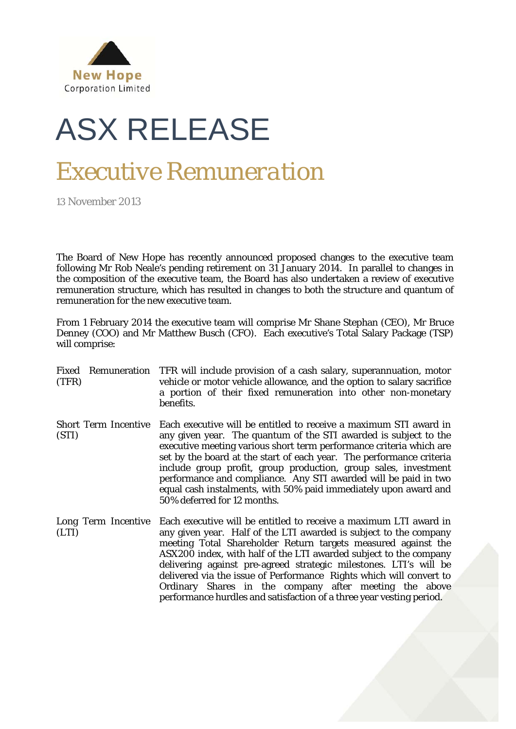

## ASX RELEASE

## *Executive Remuneration*

13 November 2013

The Board of New Hope has recently announced proposed changes to the executive team following Mr Rob Neale's pending retirement on 31 January 2014. In parallel to changes in the composition of the executive team, the Board has also undertaken a review of executive remuneration structure, which has resulted in changes to both the structure and quantum of remuneration for the new executive team.

From 1 February 2014 the executive team will comprise Mr Shane Stephan (CEO), Mr Bruce Denney (COO) and Mr Matthew Busch (CFO). Each executive's Total Salary Package (TSP) will comprise:

- Fixed Remuneration TFR will include provision of a cash salary, superannuation, motor (TFR) vehicle or motor vehicle allowance, and the option to salary sacrifice a portion of their fixed remuneration into other non-monetary benefits. Short Term Incentive Each executive will be entitled to receive a maximum STI award in (STI) any given year. The quantum of the STI awarded is subject to the executive meeting various short term performance criteria which are set by the board at the start of each year. The performance criteria include group profit, group production, group sales, investment performance and compliance. Any STI awarded will be paid in two equal cash instalments, with 50% paid immediately upon award and 50% deferred for 12 months. Long Term Incentive (LTI) Each executive will be entitled to receive a maximum LTI award in
- any given year. Half of the LTI awarded is subject to the company meeting Total Shareholder Return targets measured against the ASX200 index, with half of the LTI awarded subject to the company delivering against pre-agreed strategic milestones. LTI's will be delivered via the issue of Performance Rights which will convert to Ordinary Shares in the company after meeting the above performance hurdles and satisfaction of a three year vesting period.